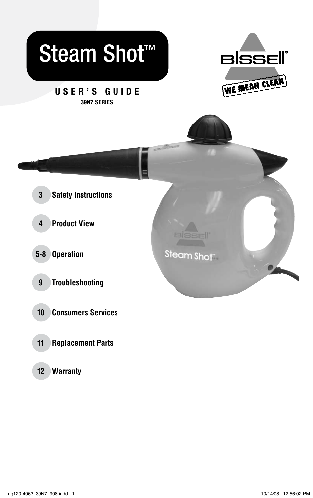

**Warranty 12**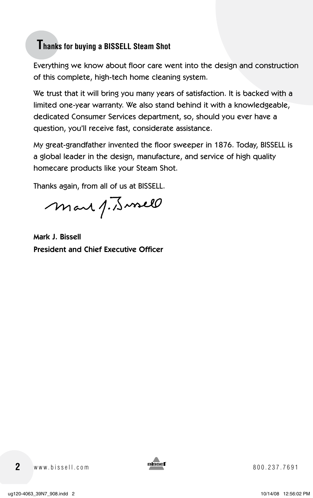### **Thanks for buying a BISSELL Steam Shot**

Everything we know about floor care went into the design and construction of this complete, high-tech home cleaning system.

We trust that it will bring you many years of satisfaction. It is backed with a limited one-year warranty. We also stand behind it with a knowledgeable, dedicated Consumer Services department, so, should you ever have a question, you'll receive fast, considerate assistance.

My great-grandfather invented the floor sweeper in 1876. Today, BISSELL is a global leader in the design, manufacture, and service of high quality homecare products like your Steam Shot.

Thanks again, from all of us at BISSELL.

mar 1. Junell

Mark J. Bissell President and Chief Executive Officer

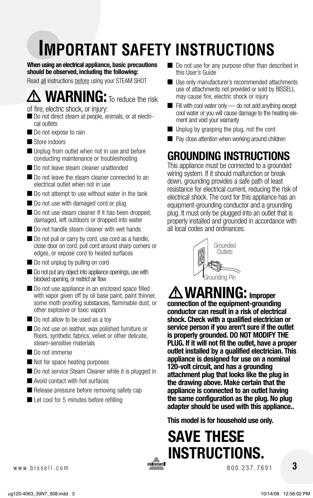# **IMPORTANT SAFETY INSTRUCTIONS**

**When using an electrical appliance, basic precautions should be observed, including the following:** 

Read all instructions before using your STEAM SHOT

# **WARNING:** To reduce the risk

of fire, electric shock, or injury:

- Do not direct steam at people, animals, or at electrical outlets
- Do not expose to rain
- Store indoors
- Unplug from outlet when not in use and before conducting maintenance or troubleshooting
- Do not leave steam cleaner unattended
- Do not leave the steam cleaner connected to an electrical outlet when not in use
- Do not attempt to use without water in the tank
- Do not use with damaged cord or plug
- Do not use steam cleaner if it has been dropped, damaged, left outdoors or dropped into water
- Do not handle steam cleaner with wet hands
- Do not pull or carry by cord, use cord as a handle, close door on cord, pull cord around sharp corners or edges, or expose cord to heated surfaces
- Do not unplug by pulling on cord
- Do not put any object into appliance openings, use with blocked opening, or restrict air flow
- Do not use appliance in an enclosed space filled with vapor given off by oil base paint, paint thinner, some moth proofing substances, flammable dust, or other explosive or toxic vapors
- Do not allow to be used as a toy
- Do not use on leather, wax polished furniture or floors, synthetic fabrics, velvet or other delicate, steam-sensitive materials
- Do not immerse
- Not for space heating purposes
- Do not service Steam Cleaner while it is plugged in
- Avoid contact with hot surfaces
- Release pressure before removing safety cap
- Let cool for 5 minutes before refilling
- Do not use for any purpose other than described in this User's Guide
- Use only manufacturer's recommended attachments use of attachments not provided or sold by BISSELL may cause fire, electric shock or injury
- Fill with cool water only do not add anything except cool water or you will cause damage to the heating element and void your warranty
- Unplug by grasping the plug, not the cord
- Pay close attention when working around children

### **GROUNDING INSTRUCTIONS**

This appliance must be connected to a grounded wiring system. If it should malfunction or break down, grounding provides a safe path of least resistance for electrical current, reducing the risk of electrical shock. The cord for this appliance has an equipment-grounding conductor and a grounding plug. It must only be plugged into an outlet that is properly installed and grounded in accordance with all local codes and ordinances.



# **WARNING: Improper**

**connection of the equipment-grounding conductor can result in a risk of electrical shock. Check with a qualified electrician or service person if you aren't sure if the outlet is properly grounded. DO NOT MODIFY THE PLUG. If it will not fit the outlet, have a proper outlet installed by a qualified electrician. This appliance is designed for use on a nominal 120-volt circuit, and has a grounding attachment plug that looks like the plug in the drawing above. Make certain that the appliance is connected to an outlet having the same configuration as the plug. No plug adapter should be used with this appliance..**

**This model is for household use only.**

### **SAVE THESE INSTRUCTIONS.** www.bissell.com 800.237.7691



 **3**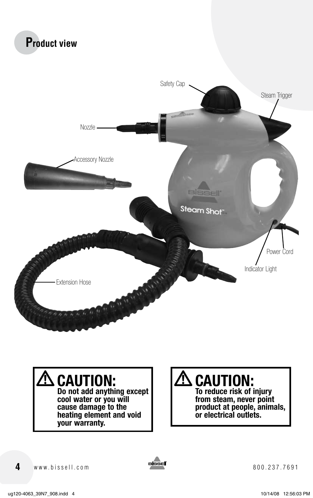



# **CAUTION:**

**Do not add anything except cool water or you will cause damage to the heating element and void your warranty.**

# **CAUTION:**

**To reduce risk of injury from steam, never point product at people, animals, or electrical outlets.**

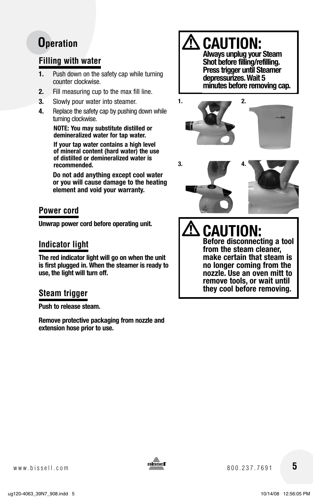### **Filling with water**

- **1.** Push down on the safety cap while turning counter clockwise.
- **2.** Fill measuring cup to the max fill line.
- **3.** Slowly pour water into steamer.
- **4.** Replace the safety cap by pushing down while turning clockwise.

**NOTE: You may substitute distilled or demineralized water for tap water.**

**If your tap water contains a high level of mineral content (hard water) the use of distilled or demineralized water is recommended.**

**Do not add anything except cool water or you will cause damage to the heating element and void your warranty.**

### **Power cord**

**Unwrap power cord before operating unit.**

### **Indicator light**

**The red indicator light will go on when the unit is first plugged in. When the steamer is ready to use, the light will turn off.**

### **Steam trigger**

**Push to release steam.**

**Remove protective packaging from nozzle and extension hose prior to use.**

**CAUTION: Always unplug your Steam Shot before filling/refilling. Press trigger until Steamer depressurizes. Wait 5** 

**minutes before removing cap.**





**CAUTION: Before disconnecting a tool from the steam cleaner, make certain that steam is no longer coming from the nozzle. Use an oven mitt to remove tools, or wait until they cool before removing.**

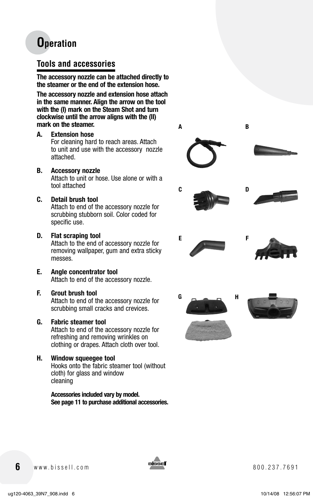#### **Tools and accessories**

**The accessory nozzle can be attached directly to the steamer or the end of the extension hose.**

**The accessory nozzle and extension hose attach in the same manner. Align the arrow on the tool with the (I) mark on the Steam Shot and turn clockwise until the arrow aligns with the (II) mark on the steamer.**

**A. Extension hose**

For cleaning hard to reach areas. Attach to unit and use with the accessory nozzle attached.

**B. Accessory nozzle** 

Attach to unit or hose. Use alone or with a tool attached

**C. Detail brush tool**

Attach to end of the accessory nozzle for scrubbing stubborn soil. Color coded for specific use.

- **D. Flat scraping tool**  Attach to the end of accessory nozzle for removing wallpaper, gum and extra sticky messes.
- **E. Angle concentrator tool** Attach to end of the accessory nozzle.
- **F. Grout brush tool**

Attach to end of the accessory nozzle for scrubbing small cracks and crevices.

#### **G. Fabric steamer tool**

Attach to end of the accessory nozzle for refreshing and removing wrinkles on clothing or drapes. Attach cloth over tool.

**H. Window squeegee tool** Hooks onto the fabric steamer tool (without cloth) for glass and window cleaning

> **Accessories included vary by model. See page 11 to purchase additional accessories.**



**6** www.bissell.com **Bissell** 800.237.7691

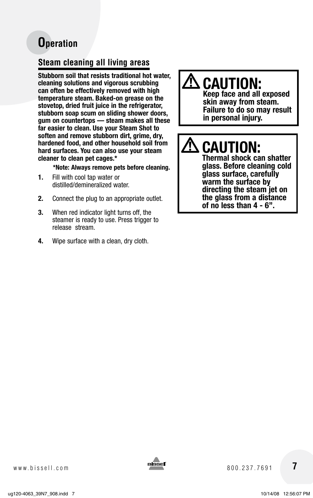### **Steam cleaning all living areas**

**Stubborn soil that resists traditional hot water, cleaning solutions and vigorous scrubbing can often be effectively removed with high temperature steam. Baked-on grease on the stovetop, dried fruit juice in the refrigerator, stubborn soap scum on sliding shower doors, gum on countertops — steam makes all these far easier to clean. Use your Steam Shot to soften and remove stubborn dirt, grime, dry, hardened food, and other household soil from hard surfaces. You can also use your steam cleaner to clean pet cages.\***

#### **\*Note: Always remove pets before cleaning.**

- **1.** Fill with cool tap water or distilled/demineralized water.
- **2.** Connect the plug to an appropriate outlet.
- **3.** When red indicator light turns off, the steamer is ready to use. Press trigger to release stream.
- **4.** Wipe surface with a clean, dry cloth.

### **CAUTION:**

**Keep face and all exposed skin away from steam. Failure to do so may result in personal injury.**

# **CAUTION:**

**Thermal shock can shatter glass. Before cleaning cold glass surface, carefully warm the surface by directing the steam jet on the glass from a distance of no less than 4 - 6".**

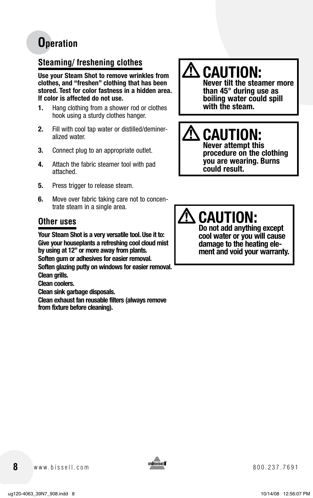### **Steaming/ freshening clothes**

**Use your Steam Shot to remove wrinkles from clothes, and "freshen" clothing that has been stored. Test for color fastness in a hidden area. If color is affected do not use.**

- **1.** Hang clothing from a shower rod or clothes hook using a sturdy clothes hanger.
- **2.** Fill with cool tap water or distilled/demineralized water.
- **3.** Connect plug to an appropriate outlet.
- **4.** Attach the fabric steamer tool with pad attached.
- **5.** Press trigger to release steam.
- **6.** Move over fabric taking care not to concentrate steam in a single area.

### **Other uses**

**Your Steam Shot is a very versatile tool. Use it to: Give your houseplants a refreshing cool cloud mist by using at 12" or more away from plants. Soften gum or adhesives for easier removal. Soften glazing putty on windows for easier removal. Clean grills.**

**Clean coolers.**

**Clean sink garbage disposals.**

**Clean exhaust fan reusable filters (always remove from fixture before cleaning).**

# $\mathbf{\hat{\mathbb{C}}}$  caution:

**Never tilt the steamer more than 45° during use as boiling water could spill with the steam.**

#### **CAUTION: Never attempt this**

**procedure on the clothing you are wearing. Burns could result.**

# **CAUTION:**

**Do not add anything except cool water or you will cause**  ment and void your warranty.

**8** www.bissell.com 800.237.7691

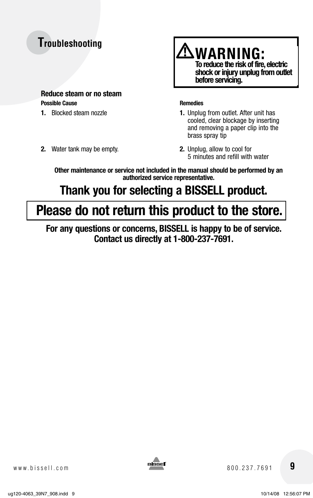### **Troubleshooting**

#### **Reduce steam or no steam Possible Cause Remedies**

- 
- **2.** Water tank may be empty. **2.** Unplug, allow to cool for



- **1.** Blocked steam nozzle **1.** Unplug from outlet. After unit has cooled, clear blockage by inserting and removing a paper clip into the brass spray tip
	- 5 minutes and refill with water

**Other maintenance or service not included in the manual should be performed by an authorized service representative.**

### **Thank you for selecting a BISSELL product.**

### **Please do not return this product to the store.**

**For any questions or concerns, BISSELL is happy to be of service. Contact us directly at 1-800-237-7691.**

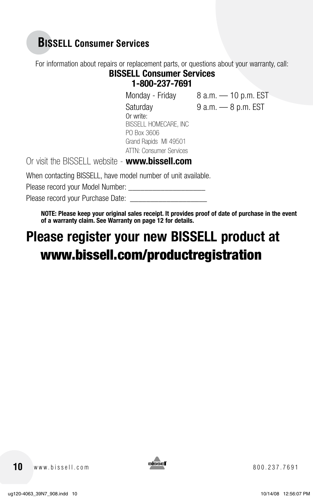### **BISSELL Consumer Services**

For information about repairs or replacement parts, or questions about your warranty, call:

#### **BISSELL Consumer Services 1-800-237-7691**

Monday - Friday 8 a.m. - 10 p.m. EST Saturday 9 a.m.  $-$  8 p.m. EST

Or write: BISSELL HOMECARE, INC PO Box 3606 Grand Rapids MI 49501 ATTN: Consumer Services

Or visit the BISSELL website - **www.bissell.com**

When contacting BISSELL, have model number of unit available.

Please record your Model Number:

Please record your Purchase Date:

**NOTE: Please keep your original sales receipt. It provides proof of date of purchase in the event of a warranty claim. See Warranty on page 12 for details.** 

# **Please register your new BISSELL product at**  www.bissell.com/productregistration

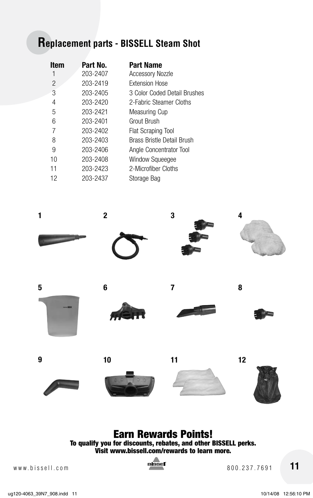### **Replacement parts - BISSELL Steam Shot**

| <b>Item</b> | Part No. | <b>Part Name</b>                  |
|-------------|----------|-----------------------------------|
|             | 203-2407 | <b>Accessory Nozzle</b>           |
| 2           | 203-2419 | <b>Extension Hose</b>             |
| 3           | 203-2405 | 3 Color Coded Detail Brushes      |
| 4           | 203-2420 | 2-Fabric Steamer Cloths           |
| 5           | 203-2421 | Measuring Cup                     |
| 6           | 203-2401 | Grout Brush                       |
| 7           | 203-2402 | <b>Flat Scraping Tool</b>         |
| 8           | 203-2403 | <b>Brass Bristle Detail Brush</b> |
| 9           | 203-2406 | Angle Concentrator Tool           |
| 10          | 203-2408 | <b>Window Squeeqee</b>            |
| 11          | 203-2423 | 2-Microfiber Cloths               |
| 12          | 203-2437 | Storage Bag                       |
|             |          |                                   |



### Earn Rewards Points!

To qualify you for discounts, rebates, and other BISSELL perks. Visit www.bissell.com/rewards to learn more.



www.bissell.com 800.237.7691 **11**